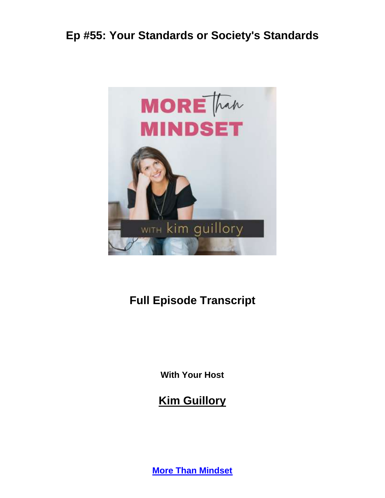

# **Full Episode Transcript**

**With Your Host**

#### **Kim Guillory**

**[More Than Mindset](https://kimguillory.com/podcast)**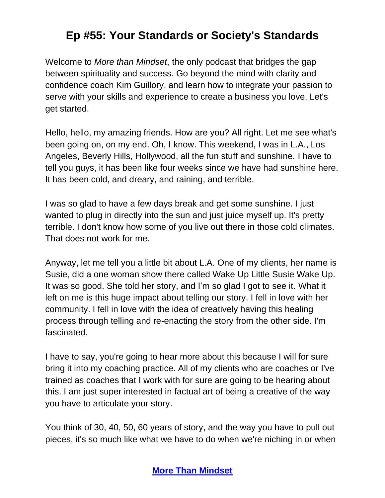Welcome to *More than Mindset*, the only podcast that bridges the gap between spirituality and success. Go beyond the mind with clarity and confidence coach Kim Guillory, and learn how to integrate your passion to serve with your skills and experience to create a business you love. Let's get started.

Hello, hello, my amazing friends. How are you? All right. Let me see what's been going on, on my end. Oh, I know. This weekend, I was in L.A., Los Angeles, Beverly Hills, Hollywood, all the fun stuff and sunshine. I have to tell you guys, it has been like four weeks since we have had sunshine here. It has been cold, and dreary, and raining, and terrible.

I was so glad to have a few days break and get some sunshine. I just wanted to plug in directly into the sun and just juice myself up. It's pretty terrible. I don't know how some of you live out there in those cold climates. That does not work for me.

Anyway, let me tell you a little bit about L.A. One of my clients, her name is Susie, did a one woman show there called Wake Up Little Susie Wake Up. It was so good. She told her story, and I'm so glad I got to see it. What it left on me is this huge impact about telling our story. I fell in love with her community. I fell in love with the idea of creatively having this healing process through telling and re-enacting the story from the other side. I'm fascinated.

I have to say, you're going to hear more about this because I will for sure bring it into my coaching practice. All of my clients who are coaches or I've trained as coaches that I work with for sure are going to be hearing about this. I am just super interested in factual art of being a creative of the way you have to articulate your story.

You think of 30, 40, 50, 60 years of story, and the way you have to pull out pieces, it's so much like what we have to do when we're niching in or when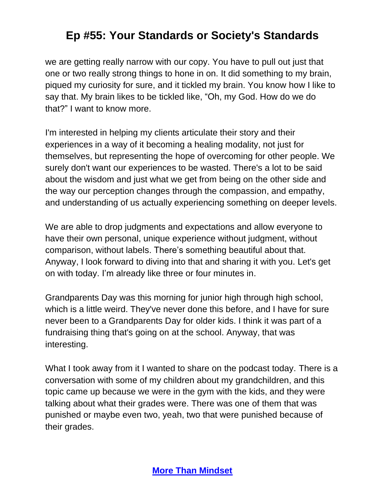we are getting really narrow with our copy. You have to pull out just that one or two really strong things to hone in on. It did something to my brain, piqued my curiosity for sure, and it tickled my brain. You know how I like to say that. My brain likes to be tickled like, "Oh, my God. How do we do that?" I want to know more.

I'm interested in helping my clients articulate their story and their experiences in a way of it becoming a healing modality, not just for themselves, but representing the hope of overcoming for other people. We surely don't want our experiences to be wasted. There's a lot to be said about the wisdom and just what we get from being on the other side and the way our perception changes through the compassion, and empathy, and understanding of us actually experiencing something on deeper levels.

We are able to drop judgments and expectations and allow everyone to have their own personal, unique experience without judgment, without comparison, without labels. There's something beautiful about that. Anyway, I look forward to diving into that and sharing it with you. Let's get on with today. I'm already like three or four minutes in.

Grandparents Day was this morning for junior high through high school, which is a little weird. They've never done this before, and I have for sure never been to a Grandparents Day for older kids. I think it was part of a fundraising thing that's going on at the school. Anyway, that was interesting.

What I took away from it I wanted to share on the podcast today. There is a conversation with some of my children about my grandchildren, and this topic came up because we were in the gym with the kids, and they were talking about what their grades were. There was one of them that was punished or maybe even two, yeah, two that were punished because of their grades.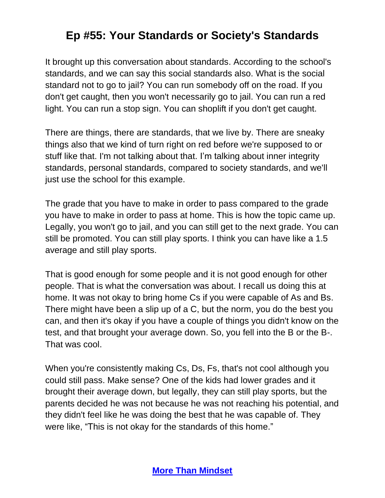It brought up this conversation about standards. According to the school's standards, and we can say this social standards also. What is the social standard not to go to jail? You can run somebody off on the road. If you don't get caught, then you won't necessarily go to jail. You can run a red light. You can run a stop sign. You can shoplift if you don't get caught.

There are things, there are standards, that we live by. There are sneaky things also that we kind of turn right on red before we're supposed to or stuff like that. I'm not talking about that. I'm talking about inner integrity standards, personal standards, compared to society standards, and we'll just use the school for this example.

The grade that you have to make in order to pass compared to the grade you have to make in order to pass at home. This is how the topic came up. Legally, you won't go to jail, and you can still get to the next grade. You can still be promoted. You can still play sports. I think you can have like a 1.5 average and still play sports.

That is good enough for some people and it is not good enough for other people. That is what the conversation was about. I recall us doing this at home. It was not okay to bring home Cs if you were capable of As and Bs. There might have been a slip up of a C, but the norm, you do the best you can, and then it's okay if you have a couple of things you didn't know on the test, and that brought your average down. So, you fell into the B or the B-. That was cool.

When you're consistently making Cs, Ds, Fs, that's not cool although you could still pass. Make sense? One of the kids had lower grades and it brought their average down, but legally, they can still play sports, but the parents decided he was not because he was not reaching his potential, and they didn't feel like he was doing the best that he was capable of. They were like, "This is not okay for the standards of this home."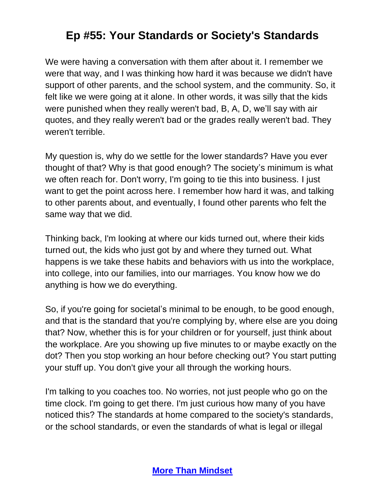We were having a conversation with them after about it. I remember we were that way, and I was thinking how hard it was because we didn't have support of other parents, and the school system, and the community. So, it felt like we were going at it alone. In other words, it was silly that the kids were punished when they really weren't bad, B, A, D, we'll say with air quotes, and they really weren't bad or the grades really weren't bad. They weren't terrible.

My question is, why do we settle for the lower standards? Have you ever thought of that? Why is that good enough? The society's minimum is what we often reach for. Don't worry, I'm going to tie this into business. I just want to get the point across here. I remember how hard it was, and talking to other parents about, and eventually, I found other parents who felt the same way that we did.

Thinking back, I'm looking at where our kids turned out, where their kids turned out, the kids who just got by and where they turned out. What happens is we take these habits and behaviors with us into the workplace, into college, into our families, into our marriages. You know how we do anything is how we do everything.

So, if you're going for societal's minimal to be enough, to be good enough, and that is the standard that you're complying by, where else are you doing that? Now, whether this is for your children or for yourself, just think about the workplace. Are you showing up five minutes to or maybe exactly on the dot? Then you stop working an hour before checking out? You start putting your stuff up. You don't give your all through the working hours.

I'm talking to you coaches too. No worries, not just people who go on the time clock. I'm going to get there. I'm just curious how many of you have noticed this? The standards at home compared to the society's standards, or the school standards, or even the standards of what is legal or illegal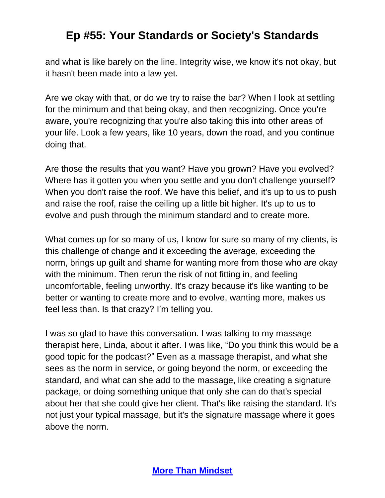and what is like barely on the line. Integrity wise, we know it's not okay, but it hasn't been made into a law yet.

Are we okay with that, or do we try to raise the bar? When I look at settling for the minimum and that being okay, and then recognizing. Once you're aware, you're recognizing that you're also taking this into other areas of your life. Look a few years, like 10 years, down the road, and you continue doing that.

Are those the results that you want? Have you grown? Have you evolved? Where has it gotten you when you settle and you don't challenge yourself? When you don't raise the roof. We have this belief, and it's up to us to push and raise the roof, raise the ceiling up a little bit higher. It's up to us to evolve and push through the minimum standard and to create more.

What comes up for so many of us, I know for sure so many of my clients, is this challenge of change and it exceeding the average, exceeding the norm, brings up guilt and shame for wanting more from those who are okay with the minimum. Then rerun the risk of not fitting in, and feeling uncomfortable, feeling unworthy. It's crazy because it's like wanting to be better or wanting to create more and to evolve, wanting more, makes us feel less than. Is that crazy? I'm telling you.

I was so glad to have this conversation. I was talking to my massage therapist here, Linda, about it after. I was like, "Do you think this would be a good topic for the podcast?" Even as a massage therapist, and what she sees as the norm in service, or going beyond the norm, or exceeding the standard, and what can she add to the massage, like creating a signature package, or doing something unique that only she can do that's special about her that she could give her client. That's like raising the standard. It's not just your typical massage, but it's the signature massage where it goes above the norm.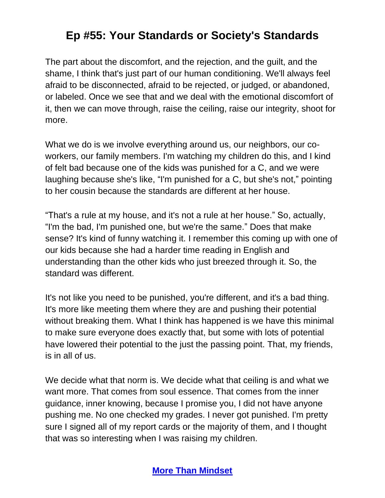The part about the discomfort, and the rejection, and the guilt, and the shame, I think that's just part of our human conditioning. We'll always feel afraid to be disconnected, afraid to be rejected, or judged, or abandoned, or labeled. Once we see that and we deal with the emotional discomfort of it, then we can move through, raise the ceiling, raise our integrity, shoot for more.

What we do is we involve everything around us, our neighbors, our coworkers, our family members. I'm watching my children do this, and I kind of felt bad because one of the kids was punished for a C, and we were laughing because she's like, "I'm punished for a C, but she's not," pointing to her cousin because the standards are different at her house.

"That's a rule at my house, and it's not a rule at her house." So, actually, "I'm the bad, I'm punished one, but we're the same." Does that make sense? It's kind of funny watching it. I remember this coming up with one of our kids because she had a harder time reading in English and understanding than the other kids who just breezed through it. So, the standard was different.

It's not like you need to be punished, you're different, and it's a bad thing. It's more like meeting them where they are and pushing their potential without breaking them. What I think has happened is we have this minimal to make sure everyone does exactly that, but some with lots of potential have lowered their potential to the just the passing point. That, my friends, is in all of us.

We decide what that norm is. We decide what that ceiling is and what we want more. That comes from soul essence. That comes from the inner guidance, inner knowing, because I promise you, I did not have anyone pushing me. No one checked my grades. I never got punished. I'm pretty sure I signed all of my report cards or the majority of them, and I thought that was so interesting when I was raising my children.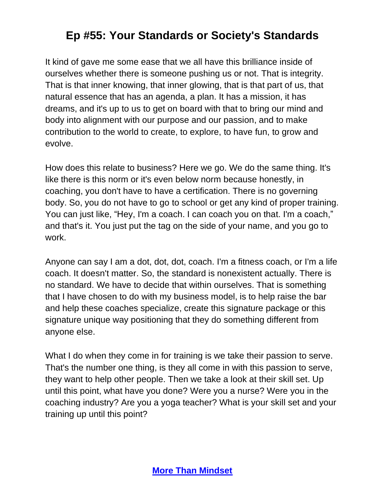It kind of gave me some ease that we all have this brilliance inside of ourselves whether there is someone pushing us or not. That is integrity. That is that inner knowing, that inner glowing, that is that part of us, that natural essence that has an agenda, a plan. It has a mission, it has dreams, and it's up to us to get on board with that to bring our mind and body into alignment with our purpose and our passion, and to make contribution to the world to create, to explore, to have fun, to grow and evolve.

How does this relate to business? Here we go. We do the same thing. It's like there is this norm or it's even below norm because honestly, in coaching, you don't have to have a certification. There is no governing body. So, you do not have to go to school or get any kind of proper training. You can just like, "Hey, I'm a coach. I can coach you on that. I'm a coach," and that's it. You just put the tag on the side of your name, and you go to work.

Anyone can say I am a dot, dot, dot, coach. I'm a fitness coach, or I'm a life coach. It doesn't matter. So, the standard is nonexistent actually. There is no standard. We have to decide that within ourselves. That is something that I have chosen to do with my business model, is to help raise the bar and help these coaches specialize, create this signature package or this signature unique way positioning that they do something different from anyone else.

What I do when they come in for training is we take their passion to serve. That's the number one thing, is they all come in with this passion to serve, they want to help other people. Then we take a look at their skill set. Up until this point, what have you done? Were you a nurse? Were you in the coaching industry? Are you a yoga teacher? What is your skill set and your training up until this point?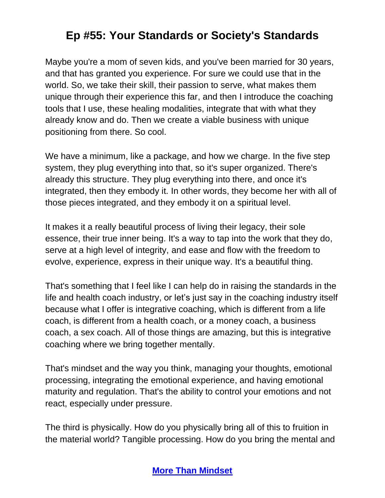Maybe you're a mom of seven kids, and you've been married for 30 years, and that has granted you experience. For sure we could use that in the world. So, we take their skill, their passion to serve, what makes them unique through their experience this far, and then I introduce the coaching tools that I use, these healing modalities, integrate that with what they already know and do. Then we create a viable business with unique positioning from there. So cool.

We have a minimum, like a package, and how we charge. In the five step system, they plug everything into that, so it's super organized. There's already this structure. They plug everything into there, and once it's integrated, then they embody it. In other words, they become her with all of those pieces integrated, and they embody it on a spiritual level.

It makes it a really beautiful process of living their legacy, their sole essence, their true inner being. It's a way to tap into the work that they do, serve at a high level of integrity, and ease and flow with the freedom to evolve, experience, express in their unique way. It's a beautiful thing.

That's something that I feel like I can help do in raising the standards in the life and health coach industry, or let's just say in the coaching industry itself because what I offer is integrative coaching, which is different from a life coach, is different from a health coach, or a money coach, a business coach, a sex coach. All of those things are amazing, but this is integrative coaching where we bring together mentally.

That's mindset and the way you think, managing your thoughts, emotional processing, integrating the emotional experience, and having emotional maturity and regulation. That's the ability to control your emotions and not react, especially under pressure.

The third is physically. How do you physically bring all of this to fruition in the material world? Tangible processing. How do you bring the mental and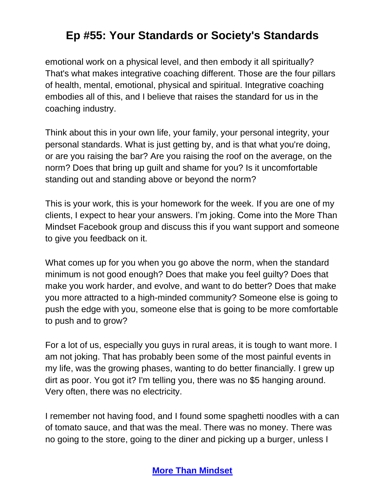emotional work on a physical level, and then embody it all spiritually? That's what makes integrative coaching different. Those are the four pillars of health, mental, emotional, physical and spiritual. Integrative coaching embodies all of this, and I believe that raises the standard for us in the coaching industry.

Think about this in your own life, your family, your personal integrity, your personal standards. What is just getting by, and is that what you're doing, or are you raising the bar? Are you raising the roof on the average, on the norm? Does that bring up guilt and shame for you? Is it uncomfortable standing out and standing above or beyond the norm?

This is your work, this is your homework for the week. If you are one of my clients, I expect to hear your answers. I'm joking. Come into the More Than Mindset Facebook group and discuss this if you want support and someone to give you feedback on it.

What comes up for you when you go above the norm, when the standard minimum is not good enough? Does that make you feel guilty? Does that make you work harder, and evolve, and want to do better? Does that make you more attracted to a high-minded community? Someone else is going to push the edge with you, someone else that is going to be more comfortable to push and to grow?

For a lot of us, especially you guys in rural areas, it is tough to want more. I am not joking. That has probably been some of the most painful events in my life, was the growing phases, wanting to do better financially. I grew up dirt as poor. You got it? I'm telling you, there was no \$5 hanging around. Very often, there was no electricity.

I remember not having food, and I found some spaghetti noodles with a can of tomato sauce, and that was the meal. There was no money. There was no going to the store, going to the diner and picking up a burger, unless I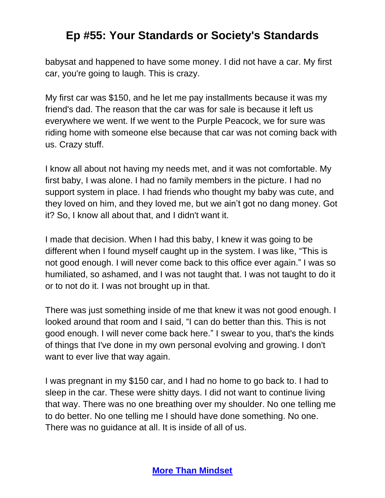babysat and happened to have some money. I did not have a car. My first car, you're going to laugh. This is crazy.

My first car was \$150, and he let me pay installments because it was my friend's dad. The reason that the car was for sale is because it left us everywhere we went. If we went to the Purple Peacock, we for sure was riding home with someone else because that car was not coming back with us. Crazy stuff.

I know all about not having my needs met, and it was not comfortable. My first baby, I was alone. I had no family members in the picture. I had no support system in place. I had friends who thought my baby was cute, and they loved on him, and they loved me, but we ain't got no dang money. Got it? So, I know all about that, and I didn't want it.

I made that decision. When I had this baby, I knew it was going to be different when I found myself caught up in the system. I was like, "This is not good enough. I will never come back to this office ever again." I was so humiliated, so ashamed, and I was not taught that. I was not taught to do it or to not do it. I was not brought up in that.

There was just something inside of me that knew it was not good enough. I looked around that room and I said, "I can do better than this. This is not good enough. I will never come back here." I swear to you, that's the kinds of things that I've done in my own personal evolving and growing. I don't want to ever live that way again.

I was pregnant in my \$150 car, and I had no home to go back to. I had to sleep in the car. These were shitty days. I did not want to continue living that way. There was no one breathing over my shoulder. No one telling me to do better. No one telling me I should have done something. No one. There was no guidance at all. It is inside of all of us.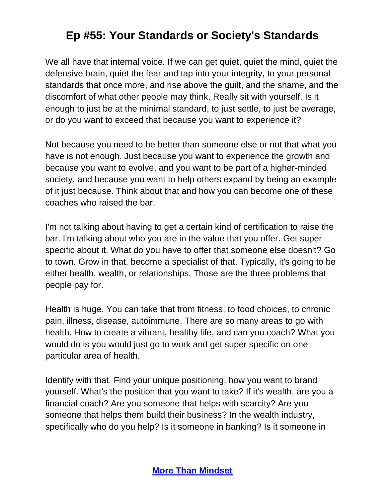We all have that internal voice. If we can get quiet, quiet the mind, quiet the defensive brain, quiet the fear and tap into your integrity, to your personal standards that once more, and rise above the guilt, and the shame, and the discomfort of what other people may think. Really sit with yourself. Is it enough to just be at the minimal standard, to just settle, to just be average, or do you want to exceed that because you want to experience it?

Not because you need to be better than someone else or not that what you have is not enough. Just because you want to experience the growth and because you want to evolve, and you want to be part of a higher-minded society, and because you want to help others expand by being an example of it just because. Think about that and how you can become one of these coaches who raised the bar.

I'm not talking about having to get a certain kind of certification to raise the bar. I'm talking about who you are in the value that you offer. Get super specific about it. What do you have to offer that someone else doesn't? Go to town. Grow in that, become a specialist of that. Typically, it's going to be either health, wealth, or relationships. Those are the three problems that people pay for.

Health is huge. You can take that from fitness, to food choices, to chronic pain, illness, disease, autoimmune. There are so many areas to go with health. How to create a vibrant, healthy life, and can you coach? What you would do is you would just go to work and get super specific on one particular area of health.

Identify with that. Find your unique positioning, how you want to brand yourself. What's the position that you want to take? If it's wealth, are you a financial coach? Are you someone that helps with scarcity? Are you someone that helps them build their business? In the wealth industry, specifically who do you help? Is it someone in banking? Is it someone in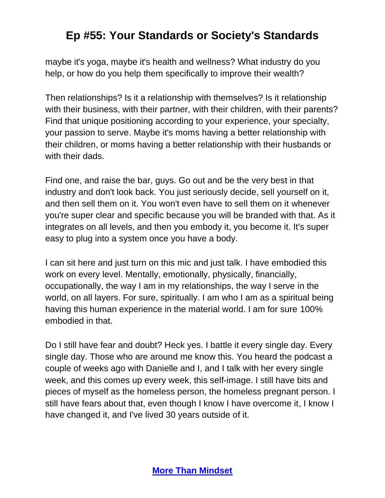maybe it's yoga, maybe it's health and wellness? What industry do you help, or how do you help them specifically to improve their wealth?

Then relationships? Is it a relationship with themselves? Is it relationship with their business, with their partner, with their children, with their parents? Find that unique positioning according to your experience, your specialty, your passion to serve. Maybe it's moms having a better relationship with their children, or moms having a better relationship with their husbands or with their dads.

Find one, and raise the bar, guys. Go out and be the very best in that industry and don't look back. You just seriously decide, sell yourself on it, and then sell them on it. You won't even have to sell them on it whenever you're super clear and specific because you will be branded with that. As it integrates on all levels, and then you embody it, you become it. It's super easy to plug into a system once you have a body.

I can sit here and just turn on this mic and just talk. I have embodied this work on every level. Mentally, emotionally, physically, financially, occupationally, the way I am in my relationships, the way I serve in the world, on all layers. For sure, spiritually. I am who I am as a spiritual being having this human experience in the material world. I am for sure 100% embodied in that.

Do I still have fear and doubt? Heck yes. I battle it every single day. Every single day. Those who are around me know this. You heard the podcast a couple of weeks ago with Danielle and I, and I talk with her every single week, and this comes up every week, this self-image. I still have bits and pieces of myself as the homeless person, the homeless pregnant person. I still have fears about that, even though I know I have overcome it, I know I have changed it, and I've lived 30 years outside of it.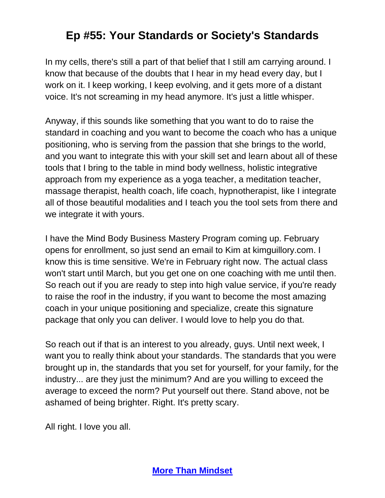In my cells, there's still a part of that belief that I still am carrying around. I know that because of the doubts that I hear in my head every day, but I work on it. I keep working, I keep evolving, and it gets more of a distant voice. It's not screaming in my head anymore. It's just a little whisper.

Anyway, if this sounds like something that you want to do to raise the standard in coaching and you want to become the coach who has a unique positioning, who is serving from the passion that she brings to the world, and you want to integrate this with your skill set and learn about all of these tools that I bring to the table in mind body wellness, holistic integrative approach from my experience as a yoga teacher, a meditation teacher, massage therapist, health coach, life coach, hypnotherapist, like I integrate all of those beautiful modalities and I teach you the tool sets from there and we integrate it with yours.

I have the Mind Body Business Mastery Program coming up. February opens for enrollment, so just send an email to Kim at kimguillory.com. I know this is time sensitive. We're in February right now. The actual class won't start until March, but you get one on one coaching with me until then. So reach out if you are ready to step into high value service, if you're ready to raise the roof in the industry, if you want to become the most amazing coach in your unique positioning and specialize, create this signature package that only you can deliver. I would love to help you do that.

So reach out if that is an interest to you already, guys. Until next week, I want you to really think about your standards. The standards that you were brought up in, the standards that you set for yourself, for your family, for the industry... are they just the minimum? And are you willing to exceed the average to exceed the norm? Put yourself out there. Stand above, not be ashamed of being brighter. Right. It's pretty scary.

All right. I love you all.